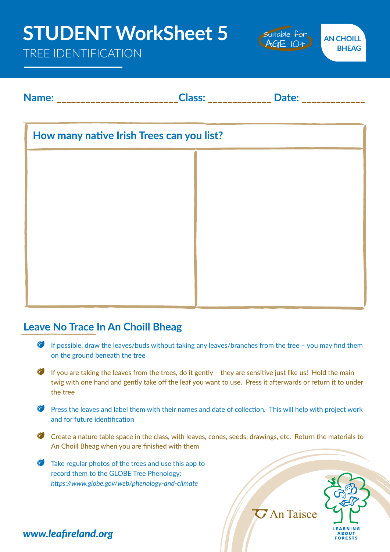# **Name: \_\_\_\_\_\_\_\_\_\_\_\_\_\_\_\_\_\_\_\_\_\_\_\_\_Class: \_\_\_\_\_\_\_\_\_\_\_\_\_ Date: \_\_\_\_\_\_\_\_\_\_\_\_\_ How many native Irish Trees can you list? STUDENT WorkSheet 5** TREE IDENTIFICATION **AN CHOILL BHEAG**  Suitable for AGE 10+

#### **Leave No Trace In An Choill Bheag**

- If possible, draw the leaves/buds without taking any leaves/branches from the tree you may find them on the ground beneath the tree
- If you are taking the leaves from the trees, do it gently  $-$  they are sensitive just like us! Hold the main twig with one hand and gently take off the leaf you want to use. Press it afterwards or return it to under the tree
- Press the leaves and label them with their names and date of collection. This will help with project work and for future identification
- Create a nature table space in the class, with leaves, cones, seeds, drawings, etc. Return the materials to An Choill Bheag when you are finished with them
- Take regular photos of the trees and use this app to record them to the GLOBE Tree Phenology: *https://www.globe.gov/web/phenology-and-climate*



 $\overline{C}$  An Taisce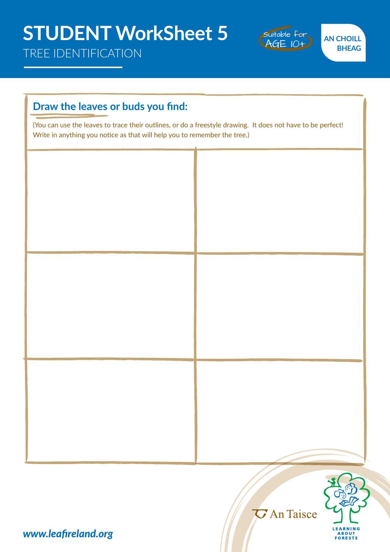TREE IDENTIFICATION



**AN CHOILL BHEAG** 

# **Draw the leaves or buds you find:**  (You can use the leaves to trace their outlines, or do a freestyle drawing. It does not have to be perfect! Write in anything you notice as that will help you to remember the tree.)



*G* An Taisce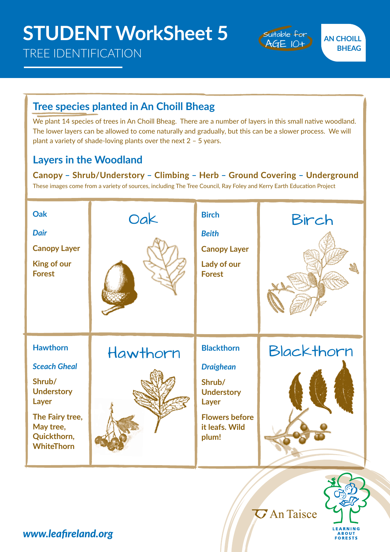### TREE IDENTIFICATION



# **Tree species planted in An Choill Bheag**

We plant 14 species of trees in An Choill Bheag. There are a number of layers in this small native woodland. The lower layers can be allowed to come naturally and gradually, but this can be a slower process. We will plant a variety of shade-loving plants over the next 2 – 5 years.

#### **Layers in the Woodland**

**Canopy – Shrub/Understory – Climbing – Herb – Ground Covering – Underground** These images come from a variety of sources, including The Tree Council, Ray Foley and Kerry Earth Education Project



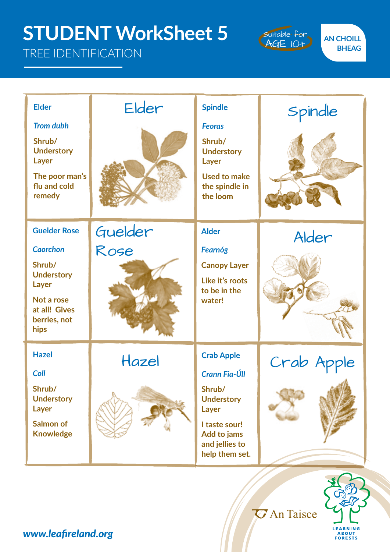# **STUDENT WorkSheet 5**

## TREE IDENTIFICATION

F

Suitable for AGE 10+

**AN CHOILL BHEAG** 

> , L **LEARNING** ABOUT<br>FORESTS

| <b>Elder</b><br><b>Trom dubh</b><br>Shrub/<br><b>Understory</b><br>Layer<br>The poor man's<br>flu and cold<br>remedy                  | Elder           | <b>Spindle</b><br><b>Feoras</b><br>Shrub/<br><b>Understory</b><br>Layer<br><b>Used to make</b><br>the spindle in<br>the loom                   | Spindle    |
|---------------------------------------------------------------------------------------------------------------------------------------|-----------------|------------------------------------------------------------------------------------------------------------------------------------------------|------------|
| <b>Guelder Rose</b><br><b>Caorchon</b><br>Shrub/<br><b>Understory</b><br>Layer<br>Not a rose<br>at all! Gives<br>berries, not<br>hips | Guelder<br>Rose | <b>Alder</b><br><b>Fearnóg</b><br><b>Canopy Layer</b><br>Like it's roots<br>to be in the<br>water!                                             | Alder      |
| <b>Hazel</b><br><b>Coll</b><br>Shrub/<br><b>Understory</b><br>Layer<br><b>Salmon of</b><br><b>Knowledge</b>                           | Hazel           | <b>Crab Apple</b><br>Crann Fia-Úll<br>Shrub/<br><b>Understory</b><br>Layer<br>I taste sour!<br>Add to jams<br>and jellies to<br>help them set. | Crab Apple |
| <b><i>G</i></b> An Taisce                                                                                                             |                 |                                                                                                                                                |            |